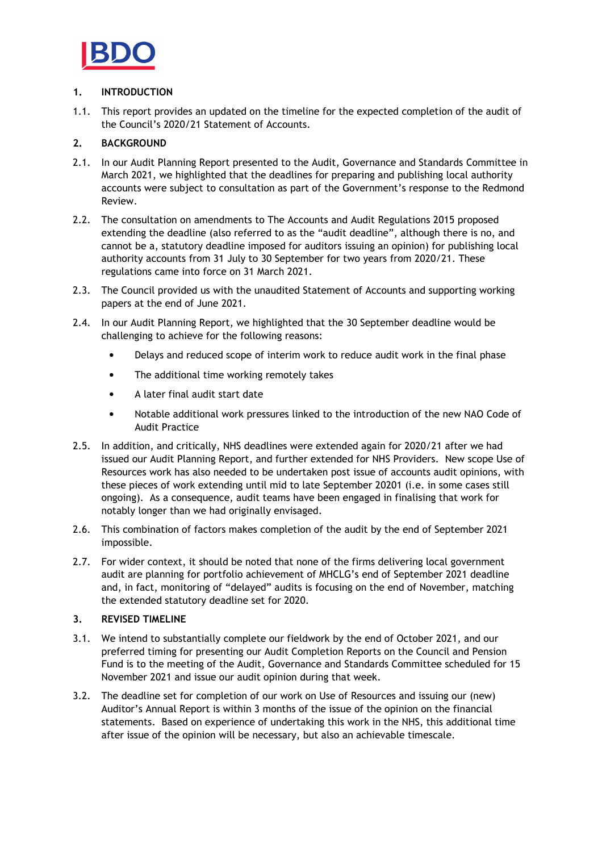

## 1. INTRODUCTION

1.1. This report provides an updated on the timeline for the expected completion of the audit of the Council's 2020/21 Statement of Accounts.

## 2. BACKGROUND

- 2.1. In our Audit Planning Report presented to the Audit, Governance and Standards Committee in March 2021, we highlighted that the deadlines for preparing and publishing local authority accounts were subject to consultation as part of the Government's response to the Redmond Review.
- 2.2. The consultation on amendments to The Accounts and Audit Regulations 2015 proposed extending the deadline (also referred to as the "audit deadline", although there is no, and cannot be a, statutory deadline imposed for auditors issuing an opinion) for publishing local authority accounts from 31 July to 30 September for two years from 2020/21. These regulations came into force on 31 March 2021.
- 2.3. The Council provided us with the unaudited Statement of Accounts and supporting working papers at the end of June 2021.
- 2.4. In our Audit Planning Report, we highlighted that the 30 September deadline would be challenging to achieve for the following reasons:
	- Delays and reduced scope of interim work to reduce audit work in the final phase
	- The additional time working remotely takes
	- A later final audit start date
	- Notable additional work pressures linked to the introduction of the new NAO Code of Audit Practice
- 2.5. In addition, and critically, NHS deadlines were extended again for 2020/21 after we had issued our Audit Planning Report, and further extended for NHS Providers. New scope Use of Resources work has also needed to be undertaken post issue of accounts audit opinions, with these pieces of work extending until mid to late September 20201 (i.e. in some cases still ongoing). As a consequence, audit teams have been engaged in finalising that work for notably longer than we had originally envisaged.
- 2.6. This combination of factors makes completion of the audit by the end of September 2021 impossible.
- 2.7. For wider context, it should be noted that none of the firms delivering local government audit are planning for portfolio achievement of MHCLG's end of September 2021 deadline and, in fact, monitoring of "delayed" audits is focusing on the end of November, matching the extended statutory deadline set for 2020.

## 3. REVISED TIMELINE

- 3.1. We intend to substantially complete our fieldwork by the end of October 2021, and our preferred timing for presenting our Audit Completion Reports on the Council and Pension Fund is to the meeting of the Audit, Governance and Standards Committee scheduled for 15 November 2021 and issue our audit opinion during that week.
- 3.2. The deadline set for completion of our work on Use of Resources and issuing our (new) Auditor's Annual Report is within 3 months of the issue of the opinion on the financial statements. Based on experience of undertaking this work in the NHS, this additional time after issue of the opinion will be necessary, but also an achievable timescale.